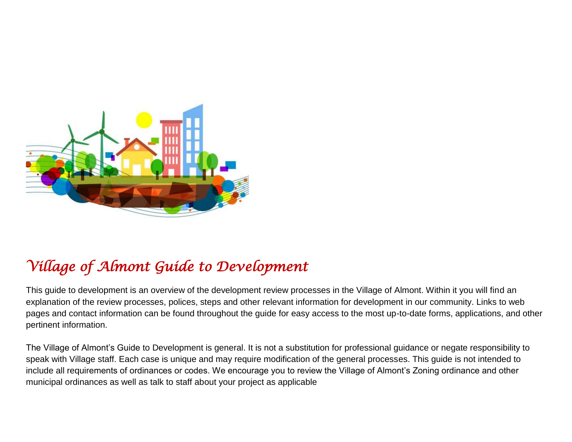

# *Village of Almont Guide to Development*

This guide to development is an overview of the development review processes in the Village of Almont. Within it you will find an explanation of the review processes, polices, steps and other relevant information for development in our community. Links to web pages and contact information can be found throughout the guide for easy access to the most up-to-date forms, applications, and other pertinent information.

The Village of Almont's Guide to Development is general. It is not a substitution for professional guidance or negate responsibility to speak with Village staff. Each case is unique and may require modification of the general processes. This guide is not intended to include all requirements of ordinances or codes. We encourage you to review the Village of Almont's Zoning ordinance and other municipal ordinances as well as talk to staff about your project as applicable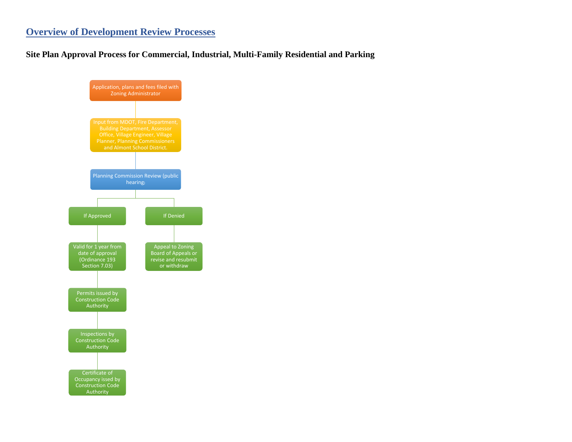## **Overview of Development Review Processes**

#### **Site Plan Approval Process for Commercial, Industrial, Multi-Family Residential and Parking**

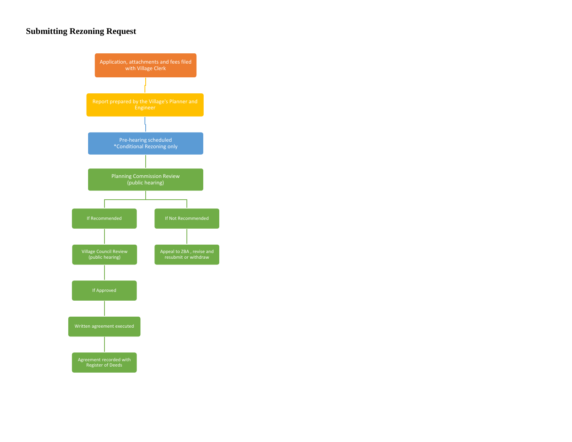#### **Submitting Rezoning Request**

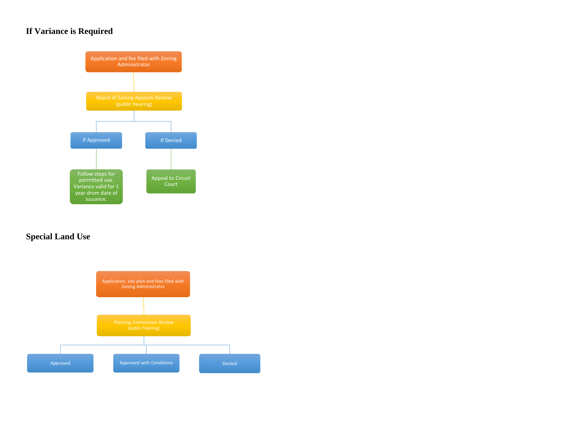## **If Variance is Required**



#### **Special Land Use**

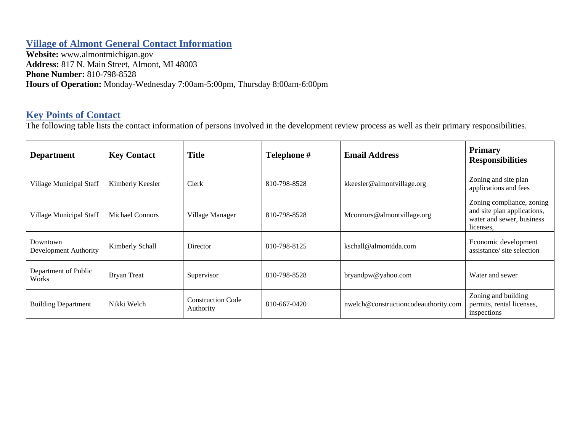### **Village of Almont General Contact Information**

**Website:** www.almontmichigan.gov **Address:** 817 N. Main Street, Almont, MI 48003 **Phone Number:** 810-798-8528 **Hours of Operation:** Monday-Wednesday 7:00am-5:00pm, Thursday 8:00am-6:00pm

# **Key Points of Contact**

The following table lists the contact information of persons involved in the development review process as well as their primary responsibilities.

| <b>Department</b>                 | <b>Key Contact</b>     | <b>Title</b>                          | Telephone #  | <b>Email Address</b>                 | <b>Primary</b><br><b>Responsibilities</b>                                                          |
|-----------------------------------|------------------------|---------------------------------------|--------------|--------------------------------------|----------------------------------------------------------------------------------------------------|
| Village Municipal Staff           | Kimberly Keesler       | Clerk                                 | 810-798-8528 | kkeesler@almontvillage.org           | Zoning and site plan<br>applications and fees                                                      |
| Village Municipal Staff           | <b>Michael Connors</b> | Village Manager                       | 810-798-8528 | Mconnors@almontvillage.org           | Zoning compliance, zoning<br>and site plan applications,<br>water and sewer, business<br>licenses. |
| Downtown<br>Development Authority | Kimberly Schall        | Director                              | 810-798-8125 | kschall@almontdda.com                | Economic development<br>assistance/site selection                                                  |
| Department of Public<br>Works     | <b>Bryan Treat</b>     | Supervisor                            | 810-798-8528 | bryandpw@yahoo.com                   | Water and sewer                                                                                    |
| <b>Building Department</b>        | Nikki Welch            | <b>Construction Code</b><br>Authority | 810-667-0420 | nwelch@constructioncodeauthority.com | Zoning and building<br>permits, rental licenses,<br>inspections                                    |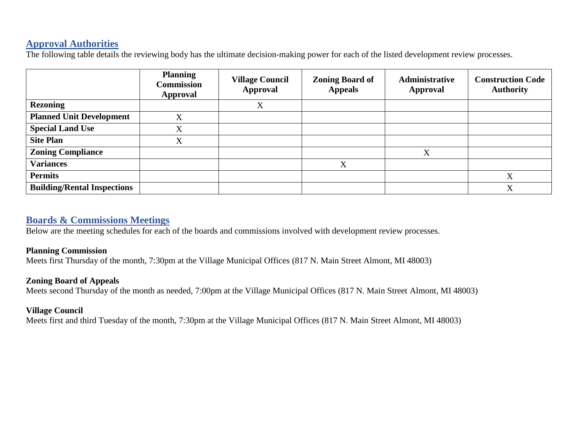#### **Approval Authorities**

The following table details the reviewing body has the ultimate decision-making power for each of the listed development review processes.

|                                    | <b>Planning</b><br><b>Commission</b><br>Approval | <b>Village Council</b><br><b>Approval</b> | <b>Zoning Board of</b><br><b>Appeals</b> | Administrative<br><b>Approval</b> | <b>Construction Code</b><br><b>Authority</b> |
|------------------------------------|--------------------------------------------------|-------------------------------------------|------------------------------------------|-----------------------------------|----------------------------------------------|
| <b>Rezoning</b>                    |                                                  | X                                         |                                          |                                   |                                              |
| <b>Planned Unit Development</b>    | X                                                |                                           |                                          |                                   |                                              |
| <b>Special Land Use</b>            | X                                                |                                           |                                          |                                   |                                              |
| <b>Site Plan</b>                   | X                                                |                                           |                                          |                                   |                                              |
| <b>Zoning Compliance</b>           |                                                  |                                           |                                          | X                                 |                                              |
| <b>Variances</b>                   |                                                  |                                           | X                                        |                                   |                                              |
| <b>Permits</b>                     |                                                  |                                           |                                          |                                   | X                                            |
| <b>Building/Rental Inspections</b> |                                                  |                                           |                                          |                                   | $\mathbf{v}$<br>Δ                            |

#### **Boards & Commissions Meetings**

Below are the meeting schedules for each of the boards and commissions involved with development review processes.

#### **Planning Commission**

Meets first Thursday of the month, 7:30pm at the Village Municipal Offices (817 N. Main Street Almont, MI 48003)

#### **Zoning Board of Appeals**

Meets second Thursday of the month as needed, 7:00pm at the Village Municipal Offices (817 N. Main Street Almont, MI 48003)

#### **Village Council**

Meets first and third Tuesday of the month, 7:30pm at the Village Municipal Offices (817 N. Main Street Almont, MI 48003)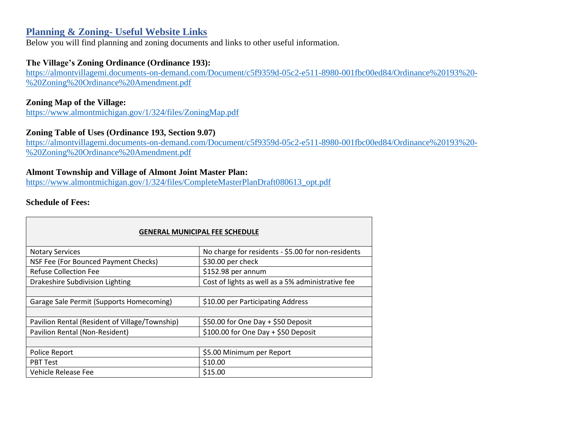#### **Planning & Zoning- Useful Website Links**

Below you will find planning and zoning documents and links to other useful information.

#### **The Village's Zoning Ordinance (Ordinance 193):**

[https://almontvillagemi.documents-on-demand.com/Document/c5f9359d-05c2-e511-8980-001fbc00ed84/Ordinance%20193%20-](https://almontvillagemi.documents-on-demand.com/Document/c5f9359d-05c2-e511-8980-001fbc00ed84/Ordinance%20193%20-%20Zoning%20Ordinance%20Amendment.pdf) [%20Zoning%20Ordinance%20Amendment.pdf](https://almontvillagemi.documents-on-demand.com/Document/c5f9359d-05c2-e511-8980-001fbc00ed84/Ordinance%20193%20-%20Zoning%20Ordinance%20Amendment.pdf)

#### **Zoning Map of the Village:**

<https://www.almontmichigan.gov/1/324/files/ZoningMap.pdf>

#### **Zoning Table of Uses (Ordinance 193, Section 9.07)**

[https://almontvillagemi.documents-on-demand.com/Document/c5f9359d-05c2-e511-8980-001fbc00ed84/Ordinance%20193%20-](https://almontvillagemi.documents-on-demand.com/Document/c5f9359d-05c2-e511-8980-001fbc00ed84/Ordinance%20193%20-%20Zoning%20Ordinance%20Amendment.pdf) [%20Zoning%20Ordinance%20Amendment.pdf](https://almontvillagemi.documents-on-demand.com/Document/c5f9359d-05c2-e511-8980-001fbc00ed84/Ordinance%20193%20-%20Zoning%20Ordinance%20Amendment.pdf)

#### **Almont Township and Village of Almont Joint Master Plan:**

[https://www.almontmichigan.gov/1/324/files/CompleteMasterPlanDraft080613\\_opt.pdf](https://www.almontmichigan.gov/1/324/files/CompleteMasterPlanDraft080613_opt.pdf)

#### **Schedule of Fees:**

 $\Box$ 

| <b>GENERAL MUNICIPAL FEE SCHEDULE</b>          |                                                    |  |  |
|------------------------------------------------|----------------------------------------------------|--|--|
| <b>Notary Services</b>                         | No charge for residents - \$5.00 for non-residents |  |  |
| NSF Fee (For Bounced Payment Checks)           | \$30.00 per check                                  |  |  |
| <b>Refuse Collection Fee</b>                   | \$152.98 per annum                                 |  |  |
| Drakeshire Subdivision Lighting                | Cost of lights as well as a 5% administrative fee  |  |  |
|                                                |                                                    |  |  |
| Garage Sale Permit (Supports Homecoming)       | \$10.00 per Participating Address                  |  |  |
|                                                |                                                    |  |  |
| Pavilion Rental (Resident of Village/Township) | \$50.00 for One Day + \$50 Deposit                 |  |  |
| Pavilion Rental (Non-Resident)                 | \$100.00 for One Day + \$50 Deposit                |  |  |
|                                                |                                                    |  |  |
| Police Report                                  | \$5.00 Minimum per Report                          |  |  |
| <b>PBT Test</b>                                | \$10.00                                            |  |  |
| Vehicle Release Fee                            | \$15.00                                            |  |  |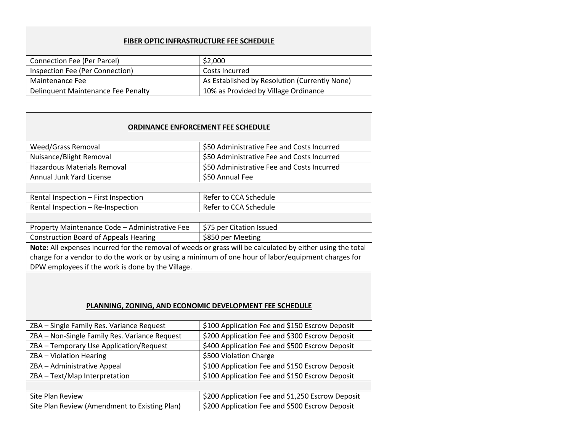#### **FIBER OPTIC INFRASTRUCTURE FEE SCHEDULE**

| Connection Fee (Per Parcel)        | \$2,000                                       |
|------------------------------------|-----------------------------------------------|
| Inspection Fee (Per Connection)    | Costs Incurred                                |
| Maintenance Fee                    | As Established by Resolution (Currently None) |
| Delinguent Maintenance Fee Penalty | 10% as Provided by Village Ordinance          |

# **ORDINANCE ENFORCEMENT FEE SCHEDULE** Weed/Grass Removal **business STEP 1250** Administrative Fee and Costs Incurred Nuisance/Blight Removal \$50 Administrative Fee and Costs Incurred Hazardous Materials Removal \$50 Administrative Fee and Costs Incurred Annual Junk Yard License  $\frac{1}{50}$  S50 Annual Fee Rental Inspection – First Inspection **Refer to CCA Schedule** Rental Inspection – Re-Inspection  $\vert$  Refer to CCA Schedule Property Maintenance Code – Administrative Fee  $\frac{1}{575}$  per Citation Issued Construction Board of Appeals Hearing \$850 per Meeting **Note:** All expenses incurred for the removal of weeds or grass will be calculated by either using the total charge for a vendor to do the work or by using a minimum of one hour of labor/equipment charges for DPW employees if the work is done by the Village. **PLANNING, ZONING, AND ECONOMIC DEVELOPMENT FEE SCHEDULE** ZBA – Single Family Res. Variance Request | \$100 Application Fee and \$150 Escrow Deposit ZBA – Non-Single Family Res. Variance Request \$200 Application Fee and \$300 Escrow Deposit  $ZBA - Temporary Use Application/Request$   $\frac{1}{2}$  \$400 Application Fee and \$500 Escrow Deposit ZBA – Violation Hearing Theory of the S500 Violation Charge ZBA – Administrative Appeal \$100 Application Fee and \$150 Escrow Deposit ZBA – Text/Map Interpretation  $\vert$ \$100 Application Fee and \$150 Escrow Deposit

| Site Plan Review                              | \$200 Application Fee and \$1,250 Escrow Deposit |
|-----------------------------------------------|--------------------------------------------------|
| Site Plan Review (Amendment to Existing Plan) | S200 Application Fee and \$500 Escrow Deposit    |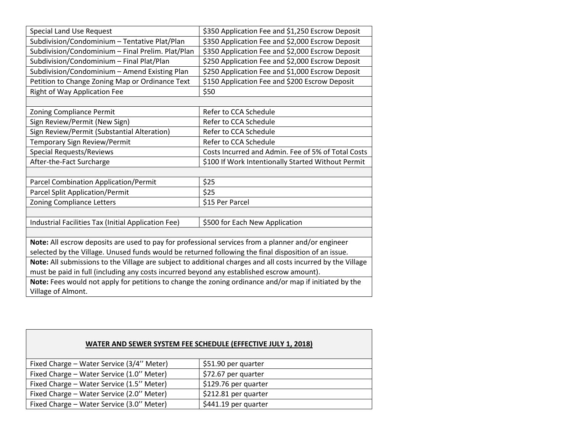| \$350 Application Fee and \$1,250 Escrow Deposit<br><b>Special Land Use Request</b>                          |                                                  |  |  |
|--------------------------------------------------------------------------------------------------------------|--------------------------------------------------|--|--|
| Subdivision/Condominium - Tentative Plat/Plan                                                                | \$350 Application Fee and \$2,000 Escrow Deposit |  |  |
| Subdivision/Condominium - Final Prelim. Plat/Plan                                                            | \$350 Application Fee and \$2,000 Escrow Deposit |  |  |
| Subdivision/Condominium - Final Plat/Plan                                                                    | \$250 Application Fee and \$2,000 Escrow Deposit |  |  |
| Subdivision/Condominium - Amend Existing Plan<br>\$250 Application Fee and \$1,000 Escrow Deposit            |                                                  |  |  |
| Petition to Change Zoning Map or Ordinance Text                                                              | \$150 Application Fee and \$200 Escrow Deposit   |  |  |
| Right of Way Application Fee                                                                                 | \$50                                             |  |  |
|                                                                                                              |                                                  |  |  |
| Zoning Compliance Permit                                                                                     | Refer to CCA Schedule                            |  |  |
| Sign Review/Permit (New Sign)                                                                                | Refer to CCA Schedule                            |  |  |
| Sign Review/Permit (Substantial Alteration)                                                                  | Refer to CCA Schedule                            |  |  |
| Temporary Sign Review/Permit<br>Refer to CCA Schedule                                                        |                                                  |  |  |
| <b>Special Requests/Reviews</b><br>Costs Incurred and Admin. Fee of 5% of Total Costs                        |                                                  |  |  |
| After-the-Fact Surcharge<br>\$100 If Work Intentionally Started Without Permit                               |                                                  |  |  |
|                                                                                                              |                                                  |  |  |
| Parcel Combination Application/Permit                                                                        | \$25                                             |  |  |
| Parcel Split Application/Permit                                                                              | \$25                                             |  |  |
| <b>Zoning Compliance Letters</b><br>\$15 Per Parcel                                                          |                                                  |  |  |
|                                                                                                              |                                                  |  |  |
| Industrial Facilities Tax (Initial Application Fee)                                                          | \$500 for Each New Application                   |  |  |
|                                                                                                              |                                                  |  |  |
| Note: All escrow deposits are used to pay for professional services from a planner and/or engineer           |                                                  |  |  |
| selected by the Village. Unused funds would be returned following the final disposition of an issue.         |                                                  |  |  |
| Note: All submissions to the Village are subject to additional charges and all costs incurred by the Village |                                                  |  |  |
| must be paid in full (including any costs incurred beyond any established escrow amount).                    |                                                  |  |  |
| Note: Fees would not apply for petitions to change the zoning ordinance and/or map if initiated by the       |                                                  |  |  |
| Village of Almont.                                                                                           |                                                  |  |  |

|  | WATER AND SEWER SYSTEM FEE SCHEDULE (EFFECTIVE JULY 1, 2018) |  |
|--|--------------------------------------------------------------|--|
|--|--------------------------------------------------------------|--|

| Fixed Charge - Water Service (3/4" Meter) | \$51.90 per quarter  |
|-------------------------------------------|----------------------|
| Fixed Charge - Water Service (1.0" Meter) | \$72.67 per quarter  |
| Fixed Charge - Water Service (1.5" Meter) | \$129.76 per quarter |
| Fixed Charge - Water Service (2.0" Meter) | \$212.81 per quarter |
| Fixed Charge - Water Service (3.0" Meter) | \$441.19 per quarter |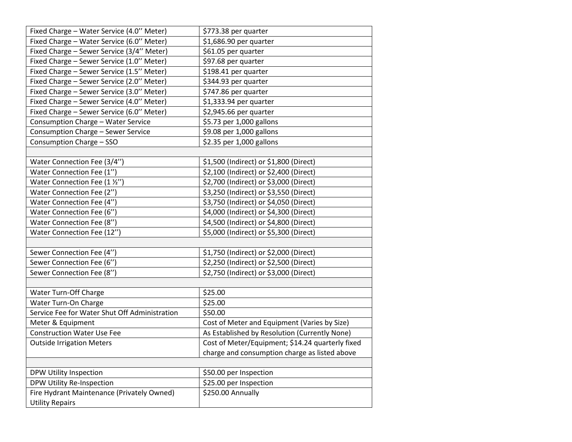| Fixed Charge - Water Service (4.0" Meter)     | \$773.38 per quarter                             |  |
|-----------------------------------------------|--------------------------------------------------|--|
| Fixed Charge - Water Service (6.0" Meter)     | \$1,686.90 per quarter                           |  |
| Fixed Charge - Sewer Service (3/4" Meter)     | \$61.05 per quarter                              |  |
| Fixed Charge - Sewer Service (1.0" Meter)     | \$97.68 per quarter                              |  |
| Fixed Charge - Sewer Service (1.5" Meter)     | \$198.41 per quarter                             |  |
| Fixed Charge - Sewer Service (2.0" Meter)     | \$344.93 per quarter                             |  |
| Fixed Charge - Sewer Service (3.0" Meter)     | \$747.86 per quarter                             |  |
| Fixed Charge - Sewer Service (4.0" Meter)     | \$1,333.94 per quarter                           |  |
| Fixed Charge - Sewer Service (6.0" Meter)     | \$2,945.66 per quarter                           |  |
| Consumption Charge - Water Service            | \$5.73 per 1,000 gallons                         |  |
| Consumption Charge - Sewer Service            | \$9.08 per 1,000 gallons                         |  |
| Consumption Charge - SSO                      | \$2.35 per 1,000 gallons                         |  |
|                                               |                                                  |  |
| Water Connection Fee (3/4")                   | \$1,500 (Indirect) or \$1,800 (Direct)           |  |
| Water Connection Fee (1")                     | \$2,100 (Indirect) or \$2,400 (Direct)           |  |
| Water Connection Fee (1 1/2")                 | \$2,700 (Indirect) or \$3,000 (Direct)           |  |
| Water Connection Fee (2")                     | \$3,250 (Indirect) or \$3,550 (Direct)           |  |
| Water Connection Fee (4")                     | \$3,750 (Indirect) or \$4,050 (Direct)           |  |
| Water Connection Fee (6")                     | \$4,000 (Indirect) or \$4,300 (Direct)           |  |
| Water Connection Fee (8")                     | \$4,500 (Indirect) or \$4,800 (Direct)           |  |
| Water Connection Fee (12")                    | \$5,000 (Indirect) or \$5,300 (Direct)           |  |
|                                               |                                                  |  |
| Sewer Connection Fee (4")                     | \$1,750 (Indirect) or \$2,000 (Direct)           |  |
| Sewer Connection Fee (6")                     | \$2,250 (Indirect) or \$2,500 (Direct)           |  |
| Sewer Connection Fee (8")                     | \$2,750 (Indirect) or \$3,000 (Direct)           |  |
|                                               |                                                  |  |
| Water Turn-Off Charge                         | \$25.00                                          |  |
| Water Turn-On Charge                          | \$25.00                                          |  |
| Service Fee for Water Shut Off Administration | \$50.00                                          |  |
| Meter & Equipment                             | Cost of Meter and Equipment (Varies by Size)     |  |
| <b>Construction Water Use Fee</b>             | As Established by Resolution (Currently None)    |  |
| <b>Outside Irrigation Meters</b>              | Cost of Meter/Equipment; \$14.24 quarterly fixed |  |
|                                               | charge and consumption charge as listed above    |  |
|                                               |                                                  |  |
| DPW Utility Inspection                        | \$50.00 per Inspection                           |  |
| DPW Utility Re-Inspection                     | \$25.00 per Inspection                           |  |
| Fire Hydrant Maintenance (Privately Owned)    | \$250.00 Annually                                |  |
| <b>Utility Repairs</b>                        |                                                  |  |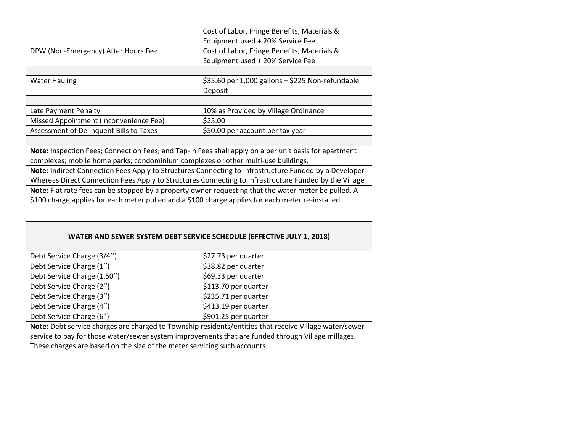|                                         | Cost of Labor, Fringe Benefits, Materials &      |
|-----------------------------------------|--------------------------------------------------|
|                                         | Equipment used + 20% Service Fee                 |
| DPW (Non-Emergency) After Hours Fee     | Cost of Labor, Fringe Benefits, Materials &      |
|                                         | Equipment used + 20% Service Fee                 |
|                                         |                                                  |
| <b>Water Hauling</b>                    | \$35.60 per 1,000 gallons + \$225 Non-refundable |
|                                         | Deposit                                          |
|                                         |                                                  |
| Late Payment Penalty                    | 10% as Provided by Village Ordinance             |
| Missed Appointment (Inconvenience Fee)  | \$25.00                                          |
| Assessment of Delinquent Bills to Taxes | \$50.00 per account per tax year                 |
|                                         |                                                  |
|                                         |                                                  |

**Note:** Inspection Fees; Connection Fees; and Tap-In Fees shall apply on a per unit basis for apartment complexes; mobile home parks; condominium complexes or other multi-use buildings.

**Note:** Indirect Connection Fees Apply to Structures Connecting to Infrastructure Funded by a Developer Whereas Direct Connection Fees Apply to Structures Connecting to Infrastructure Funded by the Village **Note:** Flat rate fees can be stopped by a property owner requesting that the water meter be pulled. A \$100 charge applies for each meter pulled and a \$100 charge applies for each meter re-installed.

#### **WATER AND SEWER SYSTEM DEBT SERVICE SCHEDULE (EFFECTIVE JULY 1, 2018)**

| Debt Service Charge (3/4")<br>\$27.73 per quarter                                                      |  |  |  |
|--------------------------------------------------------------------------------------------------------|--|--|--|
| Debt Service Charge (1")<br>\$38.82 per quarter                                                        |  |  |  |
| Debt Service Charge (1.50")<br>\$69.33 per quarter                                                     |  |  |  |
| Debt Service Charge (2")<br>\$113.70 per quarter                                                       |  |  |  |
| Debt Service Charge (3")<br>\$235.71 per quarter                                                       |  |  |  |
| Debt Service Charge (4")<br>\$413.19 per quarter                                                       |  |  |  |
| \$901.25 per quarter<br>Debt Service Charge (6")                                                       |  |  |  |
| Note: Debt service charges are charged to Township residents/entities that receive Village water/sewer |  |  |  |
| service to pay for those water/sewer system improvements that are funded through Village millages.     |  |  |  |
| These charges are based on the size of the meter servicing such accounts.                              |  |  |  |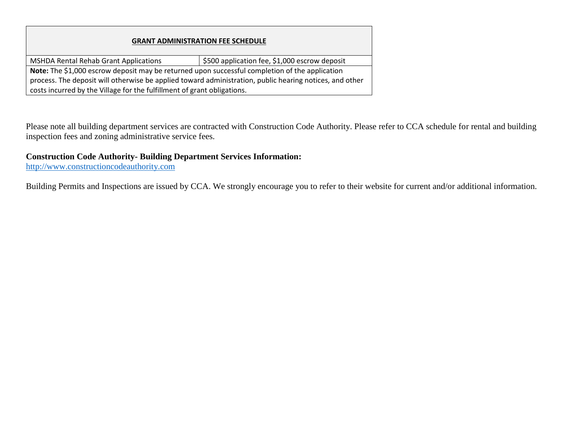#### **GRANT ADMINISTRATION FEE SCHEDULE**

MSHDA Rental Rehab Grant Applications **\$500 application fee, \$1,000 escrow deposit Note:** The \$1,000 escrow deposit may be returned upon successful completion of the application process. The deposit will otherwise be applied toward administration, public hearing notices, and other costs incurred by the Village for the fulfillment of grant obligations.

Please note all building department services are contracted with Construction Code Authority. Please refer to CCA schedule for rental and building inspection fees and zoning administrative service fees.

#### **Construction Code Authority- Building Department Services Information:**

[http://www.constructioncodeauthority.com](http://www.constructioncodeauthority.com/)

Building Permits and Inspections are issued by CCA. We strongly encourage you to refer to their website for current and/or additional information.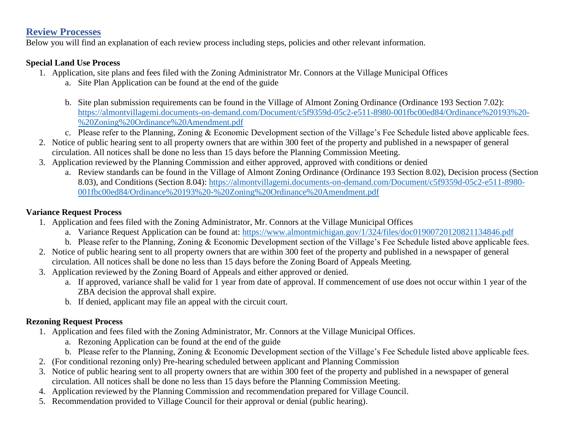#### **Review Processes**

Below you will find an explanation of each review process including steps, policies and other relevant information.

#### **Special Land Use Process**

- 1. Application, site plans and fees filed with the Zoning Administrator Mr. Connors at the Village Municipal Offices
	- a. Site Plan Application can be found at the end of the guide
	- b. Site plan submission requirements can be found in the Village of Almont Zoning Ordinance (Ordinance 193 Section 7.02): [https://almontvillagemi.documents-on-demand.com/Document/c5f9359d-05c2-e511-8980-001fbc00ed84/Ordinance%20193%20-](https://almontvillagemi.documents-on-demand.com/Document/c5f9359d-05c2-e511-8980-001fbc00ed84/Ordinance%20193%20-%20Zoning%20Ordinance%20Amendment.pdf) [%20Zoning%20Ordinance%20Amendment.pdf](https://almontvillagemi.documents-on-demand.com/Document/c5f9359d-05c2-e511-8980-001fbc00ed84/Ordinance%20193%20-%20Zoning%20Ordinance%20Amendment.pdf)
	- c. Please refer to the Planning, Zoning & Economic Development section of the Village's Fee Schedule listed above applicable fees.
- 2. Notice of public hearing sent to all property owners that are within 300 feet of the property and published in a newspaper of general circulation. All notices shall be done no less than 15 days before the Planning Commission Meeting.
- 3. Application reviewed by the Planning Commission and either approved, approved with conditions or denied
	- a. Review standards can be found in the Village of Almont Zoning Ordinance (Ordinance 193 Section 8.02), Decision process (Section 8.03), and Conditions (Section 8.04): [https://almontvillagemi.documents-on-demand.com/Document/c5f9359d-05c2-e511-8980-](https://almontvillagemi.documents-on-demand.com/Document/c5f9359d-05c2-e511-8980-001fbc00ed84/Ordinance%20193%20-%20Zoning%20Ordinance%20Amendment.pdf) [001fbc00ed84/Ordinance%20193%20-%20Zoning%20Ordinance%20Amendment.pdf](https://almontvillagemi.documents-on-demand.com/Document/c5f9359d-05c2-e511-8980-001fbc00ed84/Ordinance%20193%20-%20Zoning%20Ordinance%20Amendment.pdf)

#### **Variance Request Process**

- 1. Application and fees filed with the Zoning Administrator, Mr. Connors at the Village Municipal Offices
	- a. Variance Request Application can be found at: <https://www.almontmichigan.gov/1/324/files/doc01900720120821134846.pdf>
	- b. Please refer to the Planning, Zoning & Economic Development section of the Village's Fee Schedule listed above applicable fees.
- 2. Notice of public hearing sent to all property owners that are within 300 feet of the property and published in a newspaper of general circulation. All notices shall be done no less than 15 days before the Zoning Board of Appeals Meeting.
- 3. Application reviewed by the Zoning Board of Appeals and either approved or denied.
	- a. If approved, variance shall be valid for 1 year from date of approval. If commencement of use does not occur within 1 year of the ZBA decision the approval shall expire.
	- b. If denied, applicant may file an appeal with the circuit court.

#### **Rezoning Request Process**

- 1. Application and fees filed with the Zoning Administrator, Mr. Connors at the Village Municipal Offices.
	- a. Rezoning Application can be found at the end of the guide
	- b. Please refer to the Planning, Zoning & Economic Development section of the Village's Fee Schedule listed above applicable fees.
- 2. (For conditional rezoning only) Pre-hearing scheduled between applicant and Planning Commission
- 3. Notice of public hearing sent to all property owners that are within 300 feet of the property and published in a newspaper of general circulation. All notices shall be done no less than 15 days before the Planning Commission Meeting.
- 4. Application reviewed by the Planning Commission and recommendation prepared for Village Council.
- 5. Recommendation provided to Village Council for their approval or denial (public hearing).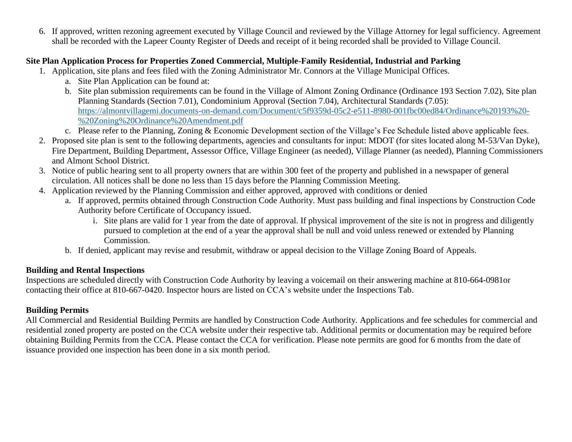6. If approved, written rezoning agreement executed by Village Council and reviewed by the Village Attorney for legal sufficiency. Agreement shall be recorded with the Lapeer County Register of Deeds and receipt of it being recorded shall be provided to Village Council.

#### **Site Plan Application Process for Properties Zoned Commercial, Multiple-Family Residential, Industrial and Parking**

- 1. Application, site plans and fees filed with the Zoning Administrator Mr. Connors at the Village Municipal Offices.
	- a. Site Plan Application can be found at:
	- b. Site plan submission requirements can be found in the Village of Almont Zoning Ordinance (Ordinance 193 Section 7.02), Site plan Planning Standards (Section 7.01), Condominium Approval (Section 7.04), Architectural Standards (7.05): [https://almontvillagemi.documents-on-demand.com/Document/c5f9359d-05c2-e511-8980-001fbc00ed84/Ordinance%20193%20-](https://almontvillagemi.documents-on-demand.com/Document/c5f9359d-05c2-e511-8980-001fbc00ed84/Ordinance%20193%20-%20Zoning%20Ordinance%20Amendment.pdf) [%20Zoning%20Ordinance%20Amendment.pdf](https://almontvillagemi.documents-on-demand.com/Document/c5f9359d-05c2-e511-8980-001fbc00ed84/Ordinance%20193%20-%20Zoning%20Ordinance%20Amendment.pdf)
	- c. Please refer to the Planning, Zoning & Economic Development section of the Village's Fee Schedule listed above applicable fees.
- 2. Proposed site plan is sent to the following departments, agencies and consultants for input: MDOT (for sites located along M-53/Van Dyke), Fire Department, Building Department, Assessor Office, Village Engineer (as needed), Village Planner (as needed), Planning Commissioners and Almont School District.
- 3. Notice of public hearing sent to all property owners that are within 300 feet of the property and published in a newspaper of general circulation. All notices shall be done no less than 15 days before the Planning Commission Meeting.
- 4. Application reviewed by the Planning Commission and either approved, approved with conditions or denied
	- a. If approved, permits obtained through Construction Code Authority. Must pass building and final inspections by Construction Code Authority before Certificate of Occupancy issued.
		- i. Site plans are valid for 1 year from the date of approval. If physical improvement of the site is not in progress and diligently pursued to completion at the end of a year the approval shall be null and void unless renewed or extended by Planning Commission.
	- b. If denied, applicant may revise and resubmit, withdraw or appeal decision to the Village Zoning Board of Appeals.

#### **Building and Rental Inspections**

Inspections are scheduled directly with Construction Code Authority by leaving a voicemail on their answering machine at 810-664-0981or contacting their office at 810-667-0420. Inspector hours are listed on CCA's website under the Inspections Tab.

## **Building Permits**

All Commercial and Residential Building Permits are handled by Construction Code Authority. Applications and fee schedules for commercial and residential zoned property are posted on the CCA website under their respective tab. Additional permits or documentation may be required before obtaining Building Permits from the CCA. Please contact the CCA for verification. Please note permits are good for 6 months from the date of issuance provided one inspection has been done in a six month period.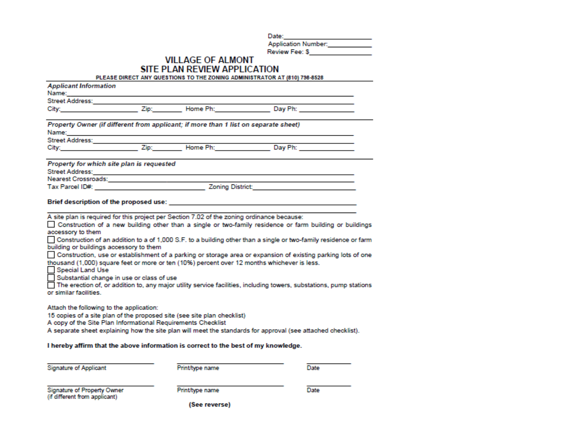Date:

|  | Application Number: |  |
|--|---------------------|--|
|  |                     |  |

| <b>Review Fee: \$</b> |  |
|-----------------------|--|
|                       |  |

#### **VILLAGE OF ALMONT** SITE PLAN REVIEW APPLICATION

PLEASE DIRECT ANY QUESTIONS TO THE ZONING ADMINISTRATOR AT (810) 798-8528

| <b>Applicant Information</b><br>Name: _________                                                                                                                                                                                                                                                                                                |  |                 |                                                                                                                                                                                                                                                                                                                                                                                                                                                                                                                                                                    |  |  |
|------------------------------------------------------------------------------------------------------------------------------------------------------------------------------------------------------------------------------------------------------------------------------------------------------------------------------------------------|--|-----------------|--------------------------------------------------------------------------------------------------------------------------------------------------------------------------------------------------------------------------------------------------------------------------------------------------------------------------------------------------------------------------------------------------------------------------------------------------------------------------------------------------------------------------------------------------------------------|--|--|
| Street Address: 1988                                                                                                                                                                                                                                                                                                                           |  |                 |                                                                                                                                                                                                                                                                                                                                                                                                                                                                                                                                                                    |  |  |
| City: <b>City:</b>                                                                                                                                                                                                                                                                                                                             |  |                 | Zip: Home Ph: Day Ph: National Philip State Philip State Philip State Philip State Philip State Philip State Philip State Philip State Philip State Philip State Philip State Philip State Philip State Philip State Philip St                                                                                                                                                                                                                                                                                                                                     |  |  |
| Property Owner (if different from applicant; if more than 1 list on separate sheet)                                                                                                                                                                                                                                                            |  |                 |                                                                                                                                                                                                                                                                                                                                                                                                                                                                                                                                                                    |  |  |
|                                                                                                                                                                                                                                                                                                                                                |  |                 |                                                                                                                                                                                                                                                                                                                                                                                                                                                                                                                                                                    |  |  |
|                                                                                                                                                                                                                                                                                                                                                |  |                 |                                                                                                                                                                                                                                                                                                                                                                                                                                                                                                                                                                    |  |  |
| Property for which site plan is requested                                                                                                                                                                                                                                                                                                      |  |                 |                                                                                                                                                                                                                                                                                                                                                                                                                                                                                                                                                                    |  |  |
|                                                                                                                                                                                                                                                                                                                                                |  |                 |                                                                                                                                                                                                                                                                                                                                                                                                                                                                                                                                                                    |  |  |
|                                                                                                                                                                                                                                                                                                                                                |  |                 |                                                                                                                                                                                                                                                                                                                                                                                                                                                                                                                                                                    |  |  |
|                                                                                                                                                                                                                                                                                                                                                |  |                 |                                                                                                                                                                                                                                                                                                                                                                                                                                                                                                                                                                    |  |  |
|                                                                                                                                                                                                                                                                                                                                                |  |                 |                                                                                                                                                                                                                                                                                                                                                                                                                                                                                                                                                                    |  |  |
| accessory to them<br>building or buildings accessory to them<br>Special Land Use<br>Substantial change in use or class of use<br>or similar facilities.<br>Attach the following to the application:<br>15 copies of a site plan of the proposed site (see site plan checklist)<br>A copy of the Site Plan Informational Requirements Checklist |  |                 | Construction of a new building other than a single or two-family residence or farm building or buildings<br>Construction of an addition to a of 1,000 S.F. to a building other than a single or two-family residence or farm<br>Construction, use or establishment of a parking or storage area or expansion of existing parking lots of one<br>thousand (1,000) square feet or more or ten (10%) percent over 12 months whichever is less.<br>The erection of, or addition to, any major utility service facilities, including towers, substations, pump stations |  |  |
|                                                                                                                                                                                                                                                                                                                                                |  |                 | A separate sheet explaining how the site plan will meet the standards for approval (see attached checklist).                                                                                                                                                                                                                                                                                                                                                                                                                                                       |  |  |
|                                                                                                                                                                                                                                                                                                                                                |  |                 |                                                                                                                                                                                                                                                                                                                                                                                                                                                                                                                                                                    |  |  |
| I hereby affirm that the above information is correct to the best of my knowledge.                                                                                                                                                                                                                                                             |  |                 |                                                                                                                                                                                                                                                                                                                                                                                                                                                                                                                                                                    |  |  |
| <b>Signature of Applicant</b>                                                                                                                                                                                                                                                                                                                  |  | Print/type name | Date                                                                                                                                                                                                                                                                                                                                                                                                                                                                                                                                                               |  |  |
| Signature of Property Owner<br>(if different from applicant)                                                                                                                                                                                                                                                                                   |  | Print/type name | Date                                                                                                                                                                                                                                                                                                                                                                                                                                                                                                                                                               |  |  |
| (See reverse)                                                                                                                                                                                                                                                                                                                                  |  |                 |                                                                                                                                                                                                                                                                                                                                                                                                                                                                                                                                                                    |  |  |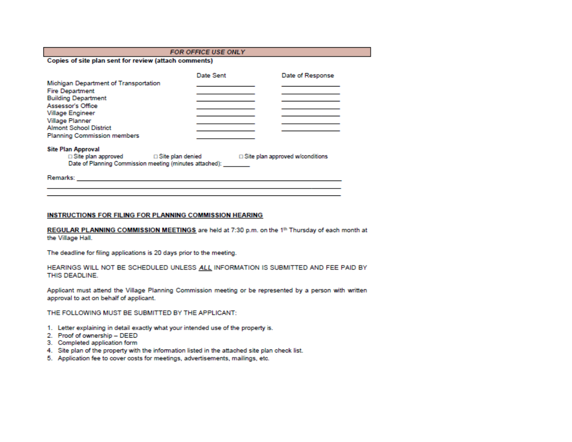#### FOR OFFICE USE ONLY

Copies of site plan sent for review (attach comments)

|                                                                                                                    | Date Sent               | Date of Response                       |
|--------------------------------------------------------------------------------------------------------------------|-------------------------|----------------------------------------|
| Michigan Department of Transportation<br><b>Fire Department</b><br><b>Building Department</b><br>Assessor's Office |                         |                                        |
| Village Engineer<br>Village Planner<br><b>Almont School District</b><br><b>Planning Commission members</b>         |                         |                                        |
| <b>Site Plan Approval</b><br>$\Box$ Site plan approved<br>Date of Planning Commission meeting (minutes attached):  | $\Box$ Site plan denied | $\Box$ Site plan approved w/conditions |

#### INSTRUCTIONS FOR FILING FOR PLANNING COMMISSION HEARING

REGULAR PLANNING COMMISSION MEETINGS are held at 7:30 p.m. on the 1<sup>th</sup> Thursday of each month at the Village Hall.

The deadline for filing applications is 20 days prior to the meeting.

HEARINGS WILL NOT BE SCHEDULED UNLESS ALL INFORMATION IS SUBMITTED AND FEE PAID BY THIS DEADLINE.

Applicant must attend the Village Planning Commission meeting or be represented by a person with written approval to act on behalf of applicant.

THE FOLLOWING MUST BE SUBMITTED BY THE APPLICANT:

- 1. Letter explaining in detail exactly what your intended use of the property is.
- 2. Proof of ownership DEED
- 3. Completed application form
- 4. Site plan of the property with the information listed in the attached site plan check list.
- 5. Application fee to cover costs for meetings, advertisements, mailings, etc.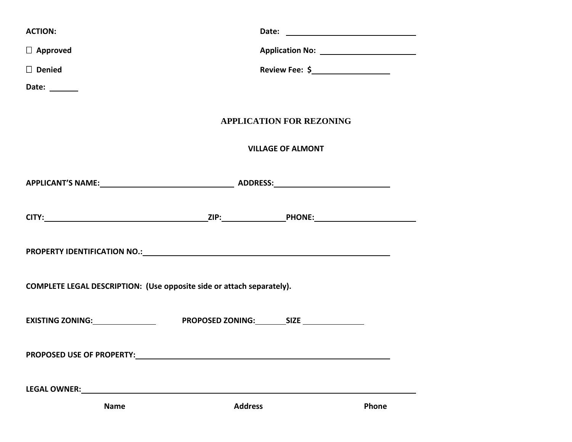| <b>ACTION:</b>                                                                                                 |                                          |       |  |  |  |
|----------------------------------------------------------------------------------------------------------------|------------------------------------------|-------|--|--|--|
| $\Box$ Approved                                                                                                | Application No: ________________________ |       |  |  |  |
| $\Box$ Denied                                                                                                  |                                          |       |  |  |  |
| Date: ______                                                                                                   |                                          |       |  |  |  |
|                                                                                                                | <b>APPLICATION FOR REZONING</b>          |       |  |  |  |
|                                                                                                                | <b>VILLAGE OF ALMONT</b>                 |       |  |  |  |
|                                                                                                                |                                          |       |  |  |  |
|                                                                                                                |                                          |       |  |  |  |
|                                                                                                                |                                          |       |  |  |  |
| COMPLETE LEGAL DESCRIPTION: (Use opposite side or attach separately).                                          |                                          |       |  |  |  |
|                                                                                                                |                                          |       |  |  |  |
|                                                                                                                |                                          |       |  |  |  |
| LEGAL OWNER: University of the contract of the contract of the contract of the contract of the contract of the |                                          |       |  |  |  |
| <b>Name</b>                                                                                                    | <b>Address</b>                           | Phone |  |  |  |